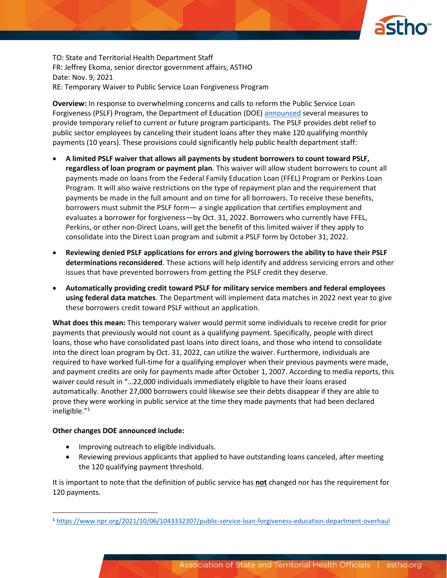

TO: State and Territorial Health Department Staff FR: Jeffrey Ekoma, senior director government affairs, ASTHO Date: Nov. 9, 2021 RE: Temporary Waiver to Public Service Loan Forgiveness Program

**Overview:** In response to overwhelming concerns and calls to reform the Public Service Loan Forgiveness (PSLF) Program, the Department of Education (DOE) [announced](https://www.ed.gov/news/press-releases/fact-sheet-public-service-loan-forgiveness-pslf-program-overhaul) several measures to provide temporary relief to current or future program participants. The PSLF provides debt relief to public sector employees by canceling their student loans after they make 120 qualifying monthly payments (10 years). These provisions could significantly help public health department staff:

- **A limited PSLF waiver that allows all payments by student borrowers to count toward PSLF, regardless of loan program or payment plan**. This waiver will allow student borrowers to count all payments made on loans from the Federal Family Education Loan (FFEL) Program or Perkins Loan Program. It will also waive restrictions on the type of repayment plan and the requirement that payments be made in the full amount and on time for all borrowers. To receive these benefits, borrowers must submit the PSLF form— a single application that certifies employment and evaluates a borrower for forgiveness—by Oct. 31, 2022. Borrowers who currently have FFEL, Perkins, or other non-Direct Loans, will get the benefit of this limited waiver if they apply to consolidate into the Direct Loan program and submit a PSLF form by October 31, 2022.
- **Reviewing denied PSLF applications for errors and giving borrowers the ability to have their PSLF determinations reconsidered**. These actions will help identify and address servicing errors and other issues that have prevented borrowers from getting the PSLF credit they deserve.
- **Automatically providing credit toward PSLF for military service members and federal employees using federal data matches**. The Department will implement data matches in 2022 next year to give these borrowers credit toward PSLF without an application.

**What does this mean:** This temporary waiver would permit some individuals to receive credit for prior payments that previously would not count as a qualifying payment. Specifically, people with direct loans, those who have consolidated past loans into direct loans, and those who intend to consolidate into the direct loan program by Oct. 31, 2022, can utilize the waiver. Furthermore, individuals are required to have worked full-time for a qualifying employer when their previous payments were made, and payment credits are only for payments made after October 1, 2007. According to media reports, this waiver could result in "…22,000 individuals immediately eligible to have their loans erased automatically. Another 27,000 borrowers could likewise see their debts disappear if they are able to prove they were working in public service at the time they made payments that had been declared ineligible."<sup>1</sup>

## **Other changes DOE announced include:**

- Improving outreach to eligible individuals.
- Reviewing previous applicants that applied to have outstanding loans canceled, after meeting the 120 qualifying payment threshold.

It is important to note that the definition of public service has **not** changed nor has the requirement for 120 payments.

<sup>1</sup> <https://www.npr.org/2021/10/06/1043332307/public-service-loan-forgiveness-education-department-overhaul>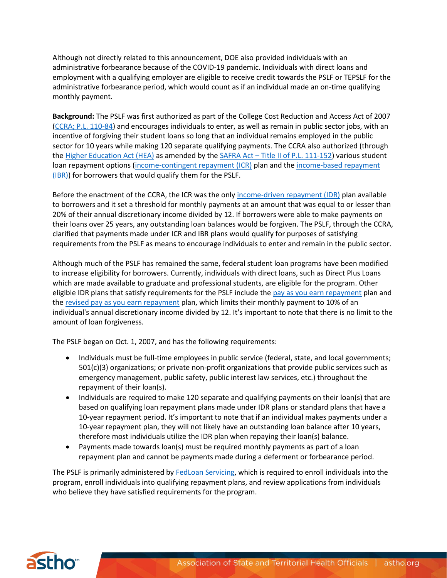Although not directly related to this announcement, DOE also provided individuals with an administrative forbearance because of the COVID-19 pandemic. Individuals with direct loans and employment with a qualifying employer are eligible to receive credit towards the PSLF or TEPSLF for the administrative forbearance period, which would count as if an individual made an on-time qualifying monthly payment.

**Background:** The PSLF was first authorized as part of the College Cost Reduction and Access Act of 2007 [\(CCRA; P.L. 110-84\)](https://www.congress.gov/110/plaws/publ84/PLAW-110publ84.pdf) and encourages individuals to enter, as well as remain in public sector jobs, with an incentive of forgiving their student loans so long that an individual remains employed in the public sector for 10 years while making 120 separate qualifying payments. The CCRA also authorized (through th[e Higher Education Act \(HEA\)](https://www2.ed.gov/policy/highered/leg/hea08/index.html) as amended by the SAFRA Act - [Title II of P.L. 111-152\)](https://www.govinfo.gov/content/pkg/PLAW-111publ152/pdf/PLAW-111publ152.pdf) various student loan repayment options [\(income-contingent repayment \(ICR\)](https://finaid.org/loans/icr/) plan and the income-based repayment [\(IBR\)\)](https://finaid.org/loans/ibr/) for borrowers that would qualify them for the PSLF.

Before the enactment of the CCRA, the ICR was the onl[y income-driven repayment \(IDR\)](https://studentaid.gov/manage-loans/repayment/plans/income-driven) plan available to borrowers and it set a threshold for monthly payments at an amount that was equal to or lesser than 20% of their annual discretionary income divided by 12. If borrowers were able to make payments on their loans over 25 years, any outstanding loan balances would be forgiven. The PSLF, through the CCRA, clarified that payments made under ICR and IBR plans would qualify for purposes of satisfying requirements from the PSLF as means to encourage individuals to enter and remain in the public sector.

Although much of the PSLF has remained the same, federal student loan programs have been modified to increase eligibility for borrowers. Currently, individuals with direct loans, such as Direct Plus Loans which are made available to graduate and professional students, are eligible for the program. Other eligible IDR plans that satisfy requirements for the PSLF include the [pay as you earn repayment](https://www.consumerfinance.gov/ask-cfpb/what-is-pay-as-you-earn-paye-how-do-i-know-if-i-qualify-en-1555/) plan and th[e revised pay as you earn repayment](https://studentaid.gov/help-center/answers/article/repaye-plan) plan, which limits their monthly payment to 10% of an individual's annual discretionary income divided by 12. It's important to note that there is no limit to the amount of loan forgiveness.

The PSLF began on Oct. 1, 2007, and has the following requirements:

- Individuals must be full-time employees in public service (federal, state, and local governments; 501(c)(3) organizations; or private non-profit organizations that provide public services such as emergency management, public safety, public interest law services, etc.) throughout the repayment of their loan(s).
- Individuals are required to make 120 separate and qualifying payments on their loan(s) that are based on qualifying loan repayment plans made under IDR plans or standard plans that have a 10-year repayment period. It's important to note that if an individual makes payments under a 10-year repayment plan, they will not likely have an outstanding loan balance after 10 years, therefore most individuals utilize the IDR plan when repaying their loan(s) balance.
- Payments made towards loan(s) must be required monthly payments as part of a loan repayment plan and cannot be payments made during a deferment or forbearance period.

The PSLF is primarily administered by [FedLoan Servicing,](https://studentaid.gov/pslf/) which is required to enroll individuals into the program, enroll individuals into qualifying repayment plans, and review applications from individuals who believe they have satisfied requirements for the program.

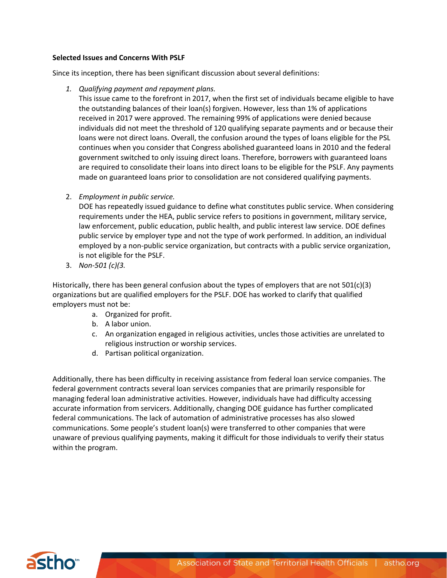## **Selected Issues and Concerns With PSLF**

Since its inception, there has been significant discussion about several definitions:

*1. Qualifying payment and repayment plans.*

This issue came to the forefront in 2017, when the first set of individuals became eligible to have the outstanding balances of their loan(s) forgiven. However, less than 1% of applications received in 2017 were approved. The remaining 99% of applications were denied because individuals did not meet the threshold of 120 qualifying separate payments and or because their loans were not direct loans. Overall, the confusion around the types of loans eligible for the PSL continues when you consider that Congress abolished guaranteed loans in 2010 and the federal government switched to only issuing direct loans. Therefore, borrowers with guaranteed loans are required to consolidate their loans into direct loans to be eligible for the PSLF. Any payments made on guaranteed loans prior to consolidation are not considered qualifying payments.

2. *Employment in public service.*

DOE has repeatedly issued guidance to define what constitutes public service. When considering requirements under the HEA, public service refers to positions in government, military service, law enforcement, public education, public health, and public interest law service. DOE defines public service by employer type and not the type of work performed. In addition, an individual employed by a non-public service organization, but contracts with a public service organization, is not eligible for the PSLF.

3. *Non-501 (c)(3.*

Historically, there has been general confusion about the types of employers that are not  $501(c)(3)$ organizations but are qualified employers for the PSLF. DOE has worked to clarify that qualified employers must not be:

- a. Organized for profit.
- b. A labor union.
- c. An organization engaged in religious activities, uncles those activities are unrelated to religious instruction or worship services.
- d. Partisan political organization.

Additionally, there has been difficulty in receiving assistance from federal loan service companies. The federal government contracts several loan services companies that are primarily responsible for managing federal loan administrative activities. However, individuals have had difficulty accessing accurate information from servicers. Additionally, changing DOE guidance has further complicated federal communications. The lack of automation of administrative processes has also slowed communications. Some people's student loan(s) were transferred to other companies that were unaware of previous qualifying payments, making it difficult for those individuals to verify their status within the program.